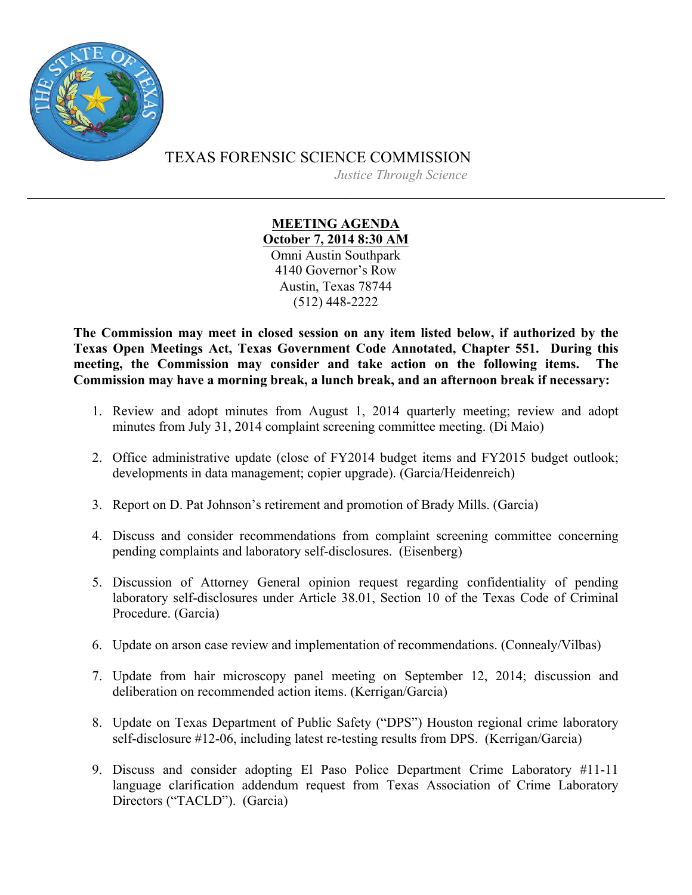

TEXAS FORENSIC SCIENCE COMMISSION

*Justice Through Science*

## **MEETING AGENDA October 7, 2014 8:30 AM**

Omni Austin Southpark 4140 Governor's Row Austin, Texas 78744 (512) 448-2222

**The Commission may meet in closed session on any item listed below, if authorized by the Texas Open Meetings Act, Texas Government Code Annotated, Chapter 551. During this meeting, the Commission may consider and take action on the following items. The Commission may have a morning break, a lunch break, and an afternoon break if necessary:**

- 1. Review and adopt minutes from August 1, 2014 quarterly meeting; review and adopt minutes from July 31, 2014 complaint screening committee meeting. (Di Maio)
- 2. Office administrative update (close of FY2014 budget items and FY2015 budget outlook; developments in data management; copier upgrade). (Garcia/Heidenreich)
- 3. Report on D. Pat Johnson's retirement and promotion of Brady Mills. (Garcia)
- 4. Discuss and consider recommendations from complaint screening committee concerning pending complaints and laboratory self-disclosures. (Eisenberg)
- 5. Discussion of Attorney General opinion request regarding confidentiality of pending laboratory self-disclosures under Article 38.01, Section 10 of the Texas Code of Criminal Procedure. (Garcia)
- 6. Update on arson case review and implementation of recommendations. (Connealy/Vilbas)
- 7. Update from hair microscopy panel meeting on September 12, 2014; discussion and deliberation on recommended action items. (Kerrigan/Garcia)
- 8. Update on Texas Department of Public Safety ("DPS") Houston regional crime laboratory self-disclosure #12-06, including latest re-testing results from DPS. (Kerrigan/Garcia)
- 9. Discuss and consider adopting El Paso Police Department Crime Laboratory #11-11 language clarification addendum request from Texas Association of Crime Laboratory Directors ("TACLD"). (Garcia)